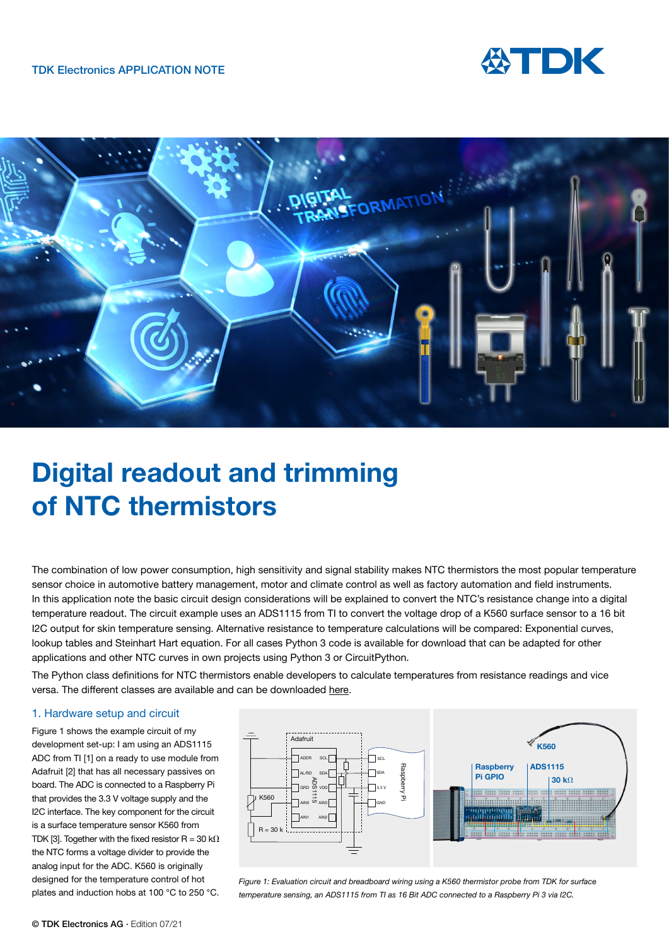



# **Digital readout and trimming of NTC thermistors**

The combination of low power consumption, high sensitivity and signal stability makes NTC thermistors the most popular temperature sensor choice in automotive battery management, motor and climate control as well as factory automation and field instruments. In this application note the basic circuit design considerations will be explained to convert the NTC's resistance change into a digital temperature readout. The circuit example uses an ADS1115 from TI to convert the voltage drop of a K560 surface sensor to a 16 bit I2C output for skin temperature sensing. Alternative resistance to temperature calculations will be compared: Exponential curves, lookup tables and Steinhart Hart equation. For all cases Python 3 code is available for download that can be adapted for other applications and other NTC curves in own projects using Python 3 or CircuitPython.

The Python class definitions for NTC thermistors enable developers to calculate temperatures from resistance readings and vice versa. The different classes are available and can be downloaded [here](https://www.tdk-electronics.tdk.com/en/2988200/design-support/design-tools/ntc-thermistors/ntc-class-definition).

## 1. Hardware setup and circuit

Figure 1 shows the example circuit of my development set-up: I am using an ADS1115 ADC from TI [1] on a ready to use module from Adafruit [2] that has all necessary passives on board. The ADC is connected to a Raspberry Pi that provides the 3.3 V voltage supply and the I2C interface. The key component for the circuit is a surface temperature sensor K560 from TDK [3]. Together with the fixed resistor R = 30 k $\Omega$ the NTC forms a voltage divider to provide the analog input for the ADC. K560 is originally designed for the temperature control of hot plates and induction hobs at 100 °C to 250 °C.



*Figure 1: Evaluation circuit and breadboard wiring using a K560 thermistor probe from TDK for surface temperature sensing, an ADS1115 from TI as 16 Bit ADC connected to a Raspberry Pi 3 via I2C.*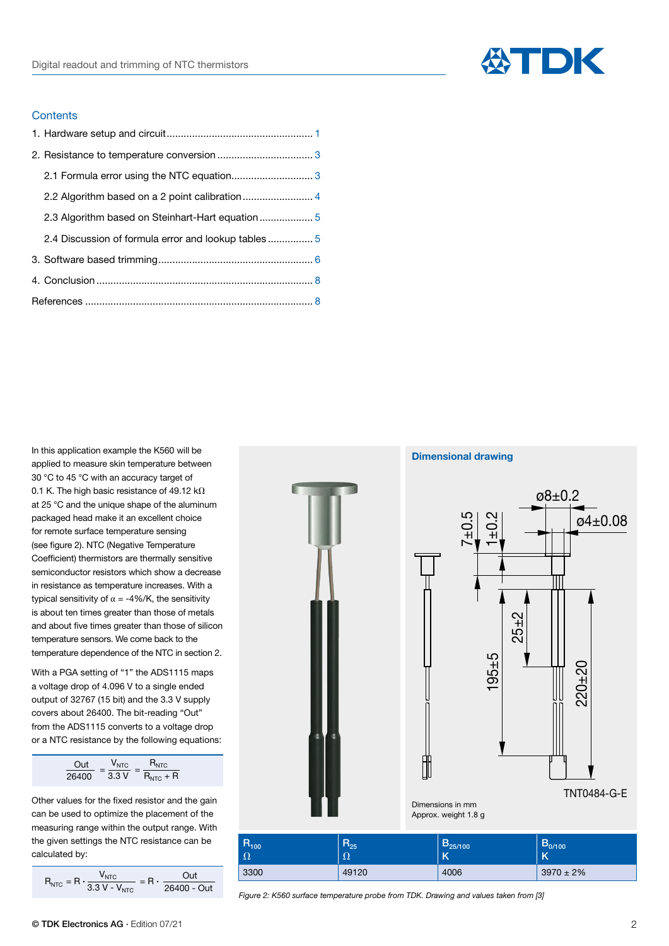

## **Contents**

| 2.1 Formula error using the NTC equation 3          |  |
|-----------------------------------------------------|--|
| 2.2 Algorithm based on a 2 point calibration 4      |  |
| 2.3 Algorithm based on Steinhart-Hart equation 5    |  |
| 2.4 Discussion of formula error and lookup tables 5 |  |
|                                                     |  |
|                                                     |  |
|                                                     |  |
|                                                     |  |

In this application example the K560 will be applied to measure skin temperature between 30 °C to 45 °C with an accuracy target of 0.1 K. The high basic resistance of 49.12 k $\Omega$ at 25 °C and the unique shape of the aluminum packaged head make it an excellent choice for remote surface temperature sensing (see figure 2). NTC (Negative Temperature Coefficient) thermistors are thermally sensitive semiconductor resistors which show a decrease in resistance as temperature increases. With a typical sensitivity of α = -4%/K, the sensitivity is about ten times greater than those of metals and about five times greater than those of silicon temperature sensors. We come back to the temperature dependence of the NTC in section 2.

With a PGA setting of "1" the ADS1115 maps a voltage drop of 4.096 V to a single ended output of 32767 (15 bit) and the 3.3 V supply covers about 26400. The bit-reading "Out" from the ADS1115 converts to a voltage drop or a NTC resistance by the following equations:

| $\bigcap$ ilt | NTC. | $R_{\text{NTC}}$ |  |
|---------------|------|------------------|--|
| 26400         | 3.3V | $R_{NTC}$ + R    |  |

Other values for the fixed resistor and the gain can be used to optimize the placement of the measuring range within the output range. With the given settings the NTC resistance can be calculated by:

$$
R_{NTC} = R \cdot \frac{V_{NTC}}{3.3 \text{ V} - V_{NTC}} = R \cdot \frac{Out}{26400 - Out}
$$

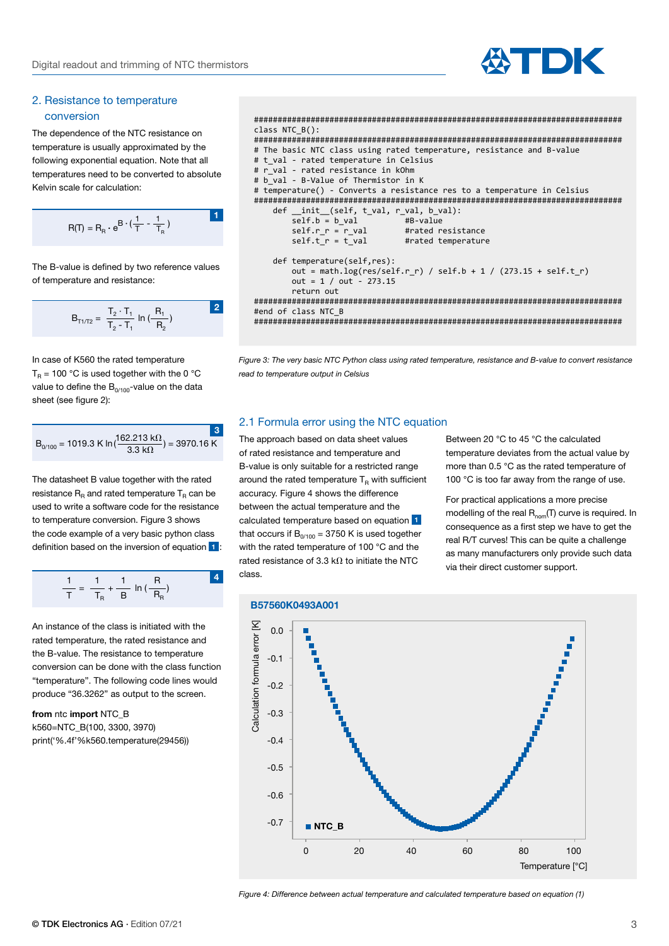

## 2. Resistance to temperature conversion

The dependence of the NTC resistance on temperature is usually approximated by the following exponential equation. Note that all temperatures need to be converted to absolute Kelvin scale for calculation:

$$
R(T) = R_{\rm R} \cdot e^{B \cdot (\frac{1}{T} - \frac{1}{T_{\rm R}})}
$$

The B-value is defined by two reference values of temperature and resistance:

$$
B_{T1/T2} = \frac{T_2 \cdot T_1}{T_2 - T_1} \ln \left( \frac{R_1}{R_2} \right)
$$

In case of K560 the rated temperature  $T_R = 100 °C$  is used together with the 0 °C value to define the  $B_{0/100}$ -value on the data sheet (see figure 2):

$$
B_{0/100} = 1019.3 \text{ K} \ln\left(\frac{162.213 \text{ k}\Omega}{3.3 \text{ k}\Omega}\right) = 3970.16 \text{ K}
$$

The datasheet B value together with the rated resistance  $R_R$  and rated temperature  $T_R$  can be used to write a software code for the resistance to temperature conversion. Figure 3 shows the code example of a very basic python class definition based on the inversion of equation **1** :

$$
\frac{1}{T} = \frac{1}{T_R} + \frac{1}{B} \ln(\frac{R}{R_R})
$$
 4

An instance of the class is initiated with the rated temperature, the rated resistance and the B-value. The resistance to temperature conversion can be done with the class function "temperature". The following code lines would produce "36.3262" as output to the screen.

**from** ntc **import** NTC **B** k560=NTC\_B(100, 3300, 3970) print('%.4f'%k560.temperature(29456))

```
##############################################################################
class NTC_B():
##############################################################################
# The basic NTC class using rated temperature, resistance and B-value 
# t_val - rated temperature in Celsius
# r val - rated resistance in kOhm
# b_val - B-Value of Thermistor in K
# temperature() - Converts a resistance res to a temperature in Celsius
##############################################################################
 def __init__(self, t_val, r_val, b_val):
 self.b = b_val #B-value 
        self.r_r = r_value #rated resistance<br>self.t r = t val #rated temperature
                                #rated temperature
     def temperature(self,res):
        out = math.log(res/self.r r) / self.b + 1 / (273.15 + self.t r)
        out = 1 / out - 273.15 return out
##############################################################################
#end of class NTC_B 
##############################################################################
```
*Figure 3: The very basic NTC Python class using rated temperature, resistance and B-value to convert resistance read to temperature output in Celsius*

## 2.1 Formula error using the NTC equation

The approach based on data sheet values of rated resistance and temperature and B-value is only suitable for a restricted range around the rated temperature  $T_R$  with sufficient accuracy. Figure 4 shows the difference between the actual temperature and the calculated temperature based on equation **1** that occurs if  $B_{0/100} = 3750$  K is used together with the rated temperature of 100 °C and the rated resistance of 3.3 k $\Omega$  to initiate the NTC class.

Between 20 °C to 45 °C the calculated temperature deviates from the actual value by more than 0.5 °C as the rated temperature of 100 °C is too far away from the range of use.

For practical applications a more precise modelling of the real  $R_{nom}(T)$  curve is required. In consequence as a first step we have to get the real R/T curves! This can be quite a challenge as many manufacturers only provide such data via their direct customer support.



#### *Figure 4: Difference between actual temperature and calculated temperature based on equation (1)*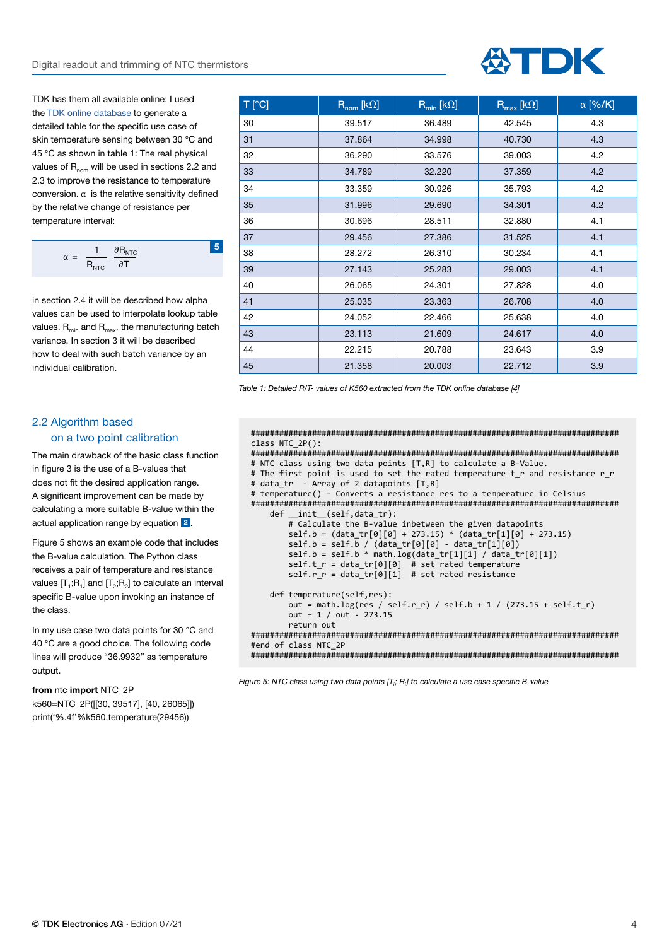TDK has them all available online: I used the [TDK online database](https://www.tdk-electronics.tdk.com/en/180518/design-support/design-tools/ntc-thermistors/ntc-r-t-calculation-5-0) to generate a detailed table for the specific use case of skin temperature sensing between 30 °C and 45 °C as shown in table 1: The real physical values of  $R_{nom}$  will be used in sections 2.2 and 2.3 to improve the resistance to temperature conversion. α is the relative sensitivity defined by the relative change of resistance per temperature interval:

$$
\alpha = \frac{1}{R_{\text{NTC}}} \frac{\partial R_{\text{NTC}}}{\partial T}
$$

**5**

in section 2.4 it will be described how alpha values can be used to interpolate lookup table values.  $R_{min}$  and  $R_{max}$ , the manufacturing batch variance. In section 3 it will be described how to deal with such batch variance by an individual calibration.

# 2.2 Algorithm based on a two point calibration

The main drawback of the basic class function in figure 3 is the use of a B-values that does not fit the desired application range. A significant improvement can be made by calculating a more suitable B-value within the actual application range by equation **2** .

Figure 5 shows an example code that includes the B-value calculation. The Python class receives a pair of temperature and resistance values  $[T_1;R_1]$  and  $[T_2;R_2]$  to calculate an interval specific B-value upon invoking an instance of the class.

In my use case two data points for 30 °C and 40 °C are a good choice. The following code lines will produce "36.9932" as temperature output.

### **from** ntc **import** NTC\_2P

k560=NTC\_2P([[30, 39517], [40, 26065]]) print('%.4f'%k560.temperature(29456))

| $\overline{C}$ T | $\mathsf{R}_{\mathsf{nom}}$ [kΩ] | $R_{min}$ [kΩ] | $\overline{\mathsf{R}_{\max}}$ [k $\Omega$ ] | $\alpha$ [%/K] |
|------------------|----------------------------------|----------------|----------------------------------------------|----------------|
| 30               | 39.517                           | 36.489         | 42.545                                       | 4.3            |
| 31               | 37.864                           | 34.998         | 40.730                                       | 4.3            |
| 32               | 36.290                           | 33.576         | 39.003                                       | 4.2            |
| 33               | 34.789                           | 32.220         | 37.359                                       | 4.2            |
| 34               | 33.359                           | 30.926         | 35.793                                       | 4.2            |
| 35               | 31.996                           | 29.690         | 34.301                                       | 4.2            |
| 36               | 30.696                           | 28.511         | 32.880                                       | 4.1            |
| 37               | 29.456                           | 27.386         | 31.525                                       | 4.1            |
| 38               | 28.272                           | 26.310         | 30.234                                       | 4.1            |
| 39               | 27.143                           | 25.283         | 29.003                                       | 4.1            |
| 40               | 26.065                           | 24.301         | 27.828                                       | 4.0            |
| 41               | 25.035                           | 23.363         | 26.708                                       | 4.0            |
| 42               | 24.052                           | 22.466         | 25.638                                       | 4.0            |
| 43               | 23.113                           | 21.609         | 24.617                                       | 4.0            |
| 44               | 22.215                           | 20.788         | 23.643                                       | 3.9            |
| 45               | 21.358                           | 20.003         | 22.712                                       | 3.9            |

*Table 1: Detailed R/T- values of K560 extracted from the TDK online database [4]*

```
##############################################################################
class NTC_2P():
##############################################################################
# NTC class using two data points [T,R] to calculate a B-Value.
# The first point is used to set the rated temperature t r and resistance r r
# data_tr - Array of 2 datapoints [T,R]
# temperature() - Converts a resistance res to a temperature in Celsius
##############################################################################
   def __ init (self,data_tr):
         # Calculate the B-value inbetween the given datapoints
        self.b = (data_tr[0][0] + 273.15) * (data_tr[1][0] + 273.15)
 self.b = self.b / (data_tr[0][0] - data_tr[1][0])
 self.b = self.b * math.log(data_tr[1][1] / data_tr[0][1])
        self.t_r = data_tr[0][0] # set rated temperature
        self.r r = \text{data tr}[0][1] # set rated resistance
    def temperature(self,res):
       out = math.log(res / self.r_r) / self.b + 1 / (273.15 + self.t_r)out = 1 / out - 273.15 return out
##############################################################################
#end of class NTC_2P 
##############################################################################
```
*Figure 5: NTC class using two data points [Ti ; Ri ] to calculate a use case specific B-value*

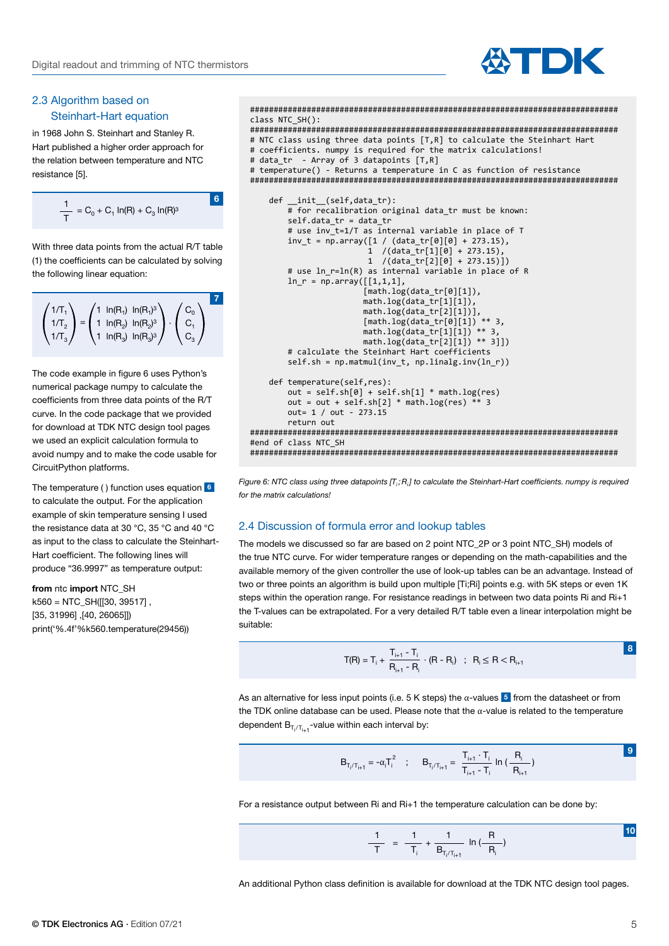

## 2.3 Algorithm based on Steinhart-Hart equation

in 1968 John S. Steinhart and Stanley R. Hart published a higher order approach for the relation between temperature and NTC resistance [5].

$$
\frac{1}{T} = C_0 + C_1 \ln(R) + C_3 \ln(R)^3
$$

**6**

With three data points from the actual R/T table (1) the coefficients can be calculated by solving the following linear equation:

**7**  $= 1 \ln(R_2) \ln(R_2)^3$   $\cdot$  $1/T_1$  $1/T<sub>2</sub>$  $1/T_3$  $C<sub>0</sub>$  $C_1$  $C_3$ 1  $ln(R_1)$   $ln(R_1)^3$ 1  $ln(R_2)$   $ln(R_2)^3$ 1  $ln(R_3)$   $ln(R_3)^3$ 

The code example in figure 6 uses Python's numerical package numpy to calculate the coefficients from three data points of the R/T curve. In the code package that we provided for download at TDK NTC design tool pages we used an explicit calculation formula to avoid numpy and to make the code usable for CircuitPython platforms.

The temperature ( ) function uses equation **6** to calculate the output. For the application example of skin temperature sensing I used the resistance data at 30 °C, 35 °C and 40 °C as input to the class to calculate the Steinhart-Hart coefficient. The following lines will produce "36.9997" as temperature output:

**from** ntc **import** NTC\_SH  $k560 = NTC$  SH( $[130, 39517]$ . [35, 31996] ,[40, 26065]]) print('%.4f'%k560.temperature(29456))

```
##############################################################################
class NTC_SH():
##############################################################################
# NTC class using three data points [T,R] to calculate the Steinhart Hart
# coefficients. numpy is required for the matrix calculations!
# data_tr - Array of 3 datapoints [T,R]
# temperature() - Returns a temperature in C as function of resistance
############################################################################## 
     def __init__(self,data_tr):
         # for recalibration original data_tr must be known:
         self.data_tr = data_tr
        # use inv t=1/T as internal variable in place of T
        inv_t = np.array([1 / (data_tr[0][0] + 273.15)),1 / (data_tr[1][0] + 273.15) 1 /(data_tr[2][0] + 273.15)])
         # use ln_r=ln(R) as internal variable in place of R
        ln_r = np.array([1,1,1], [math.log(data_tr[0][1]),
                         math.log(data_tr[1][1]), 
                         math.log(data_tr[2][1])],
                         [math.log(data_tr[0][1]) ** 3,
                         math.log(data_tr[1][1]) ** 3, 
                        math.log(data_tr[2][1]) ** 3]] # calculate the Steinhart Hart coefficients
         self.sh = np.matmul(inv_t, np.linalg.inv(ln_r))
    def temperature(self,res):
         out = self.sh[0] + self.sh[1] * math.log(res)
        out = out + self.sh[2] * math.log(res) ** 3
         out= 1 / out - 273.15 
         return out 
##############################################################################
#end of class NTC_SH
##############################################################################
```
Figure 6: NTC class using three datapoints [T<sub>i</sub>; R<sub>i</sub>] to calculate the Steinhart-Hart coefficients. numpy is required *for the matrix calculations!*

## 2.4 Discussion of formula error and lookup tables

The models we discussed so far are based on 2 point NTC\_2P or 3 point NTC\_SH) models of the true NTC curve. For wider temperature ranges or depending on the math-capabilities and the available memory of the given controller the use of look-up tables can be an advantage. Instead of two or three points an algorithm is build upon multiple [Ti;Ri] points e.g. with 5K steps or even 1K steps within the operation range. For resistance readings in between two data points Ri and Ri+1 the T-values can be extrapolated. For a very detailed R/T table even a linear interpolation might be suitable:

$$
T(R) = T_{i} + \frac{T_{i+1} - T_{i}}{R_{i+1} - R_{i}} \cdot (R - R_{i}) \quad ; \quad R_{i} \leq R < R_{i+1}
$$

As an alternative for less input points (i.e. 5 K steps) the  $\alpha$ -values **5** from the datasheet or from the TDK online database can be used. Please note that the α-value is related to the temperature dependent  $\mathsf{B}_{\mathsf{T}_\mathsf{j}/\mathsf{T}_\mathsf{j+1}}$ -value within each interval by:

$$
B_{T_i/T_{i+1}} = -\alpha_i T_i^2 \quad ; \quad B_{T_i/T_{i+1}} = \frac{T_{i+1} \cdot T_i}{T_{i+1} - T_i} \ln \left( \frac{R_i}{R_{i+1}} \right)
$$

For a resistance output between Ri and Ri+1 the temperature calculation can be done by:

$$
\frac{1}{T} = \frac{1}{T_i} + \frac{1}{B_{T_i/T_{i+1}}} \ln{(\frac{R}{R_i})}
$$

An additional Python class definition is available for download at the TDK NTC design tool pages.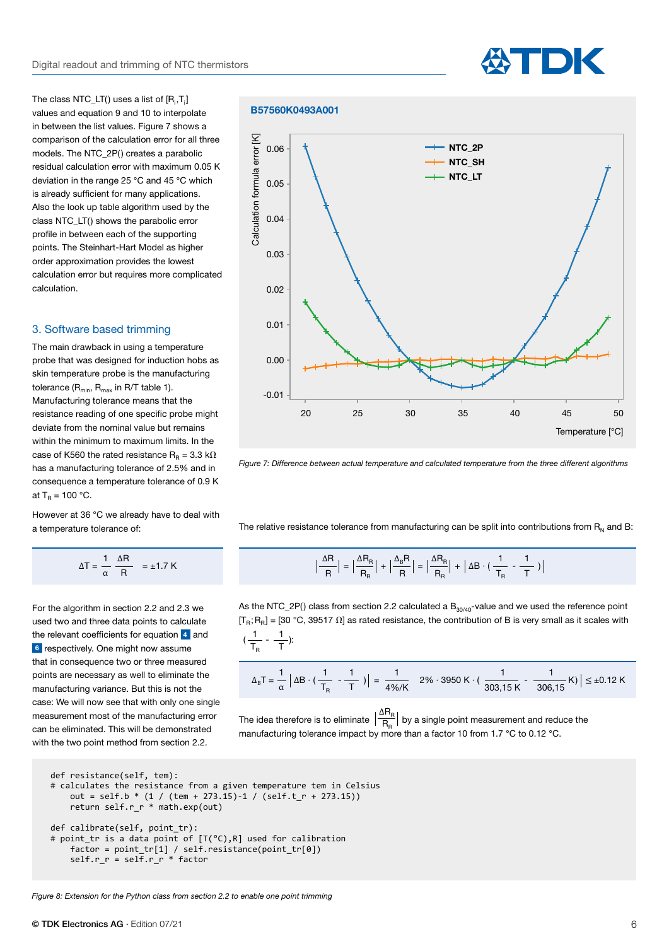The class NTC\_LT() uses a list of  $[\mathsf{R}_{\mathsf{i}},\mathsf{T}_{\mathsf{i}}]$ values and equation 9 and 10 to interpolate in between the list values. Figure 7 shows a comparison of the calculation error for all three models. The NTC\_2P() creates a parabolic residual calculation error with maximum 0.05 K deviation in the range 25 °C and 45 °C which is already sufficient for many applications. Also the look up table algorithm used by the class NTC\_LT() shows the parabolic error profile in between each of the supporting points. The Steinhart-Hart Model as higher order approximation provides the lowest calculation error but requires more complicated calculation.

#### 3. Software based trimming

The main drawback in using a temperature probe that was designed for induction hobs as skin temperature probe is the manufacturing tolerance  $(R_{min}, R_{max}$  in R/T table 1). Manufacturing tolerance means that the resistance reading of one specific probe might deviate from the nominal value but remains within the minimum to maximum limits. In the case of K560 the rated resistance R<sub>R</sub> = 3.3 k $\Omega$ has a manufacturing tolerance of 2.5% and in consequence a temperature tolerance of 0.9 K at  $T_R = 100 °C$ .

However at 36 °C we already have to deal with a temperature tolerance of:

$$
\Delta T = \frac{1}{\alpha} \frac{\Delta R}{R} = \pm 1.7 \text{ K}
$$

For the algorithm in section 2.2 and 2.3 we used two and three data points to calculate the relevant coefficients for equation **4** and **6** respectively. One might now assume that in consequence two or three measured points are necessary as well to eliminate the manufacturing variance. But this is not the case: We will now see that with only one single measurement most of the manufacturing error can be eliminated. This will be demonstrated with the two point method from section 2.2.

## **B57560K0493A001**



**ATDK** 

*Figure 7: Difference between actual temperature and calculated temperature from the three different algorithms*

The relative resistance tolerance from manufacturing can be split into contributions from  $R<sub>n</sub>$  and B:

$$
\frac{\Delta R}{R} = \pm 1.7 \text{ K}
$$
\n
$$
\left| \frac{\Delta R}{R} \right| = \left| \frac{\Delta R_R}{R_R} \right| + \left| \frac{\Delta_B R}{R} \right| = \left| \frac{\Delta R_R}{R_R} \right| + \left| \Delta B \cdot \left( \frac{1}{T_R} - \frac{1}{T} \right) \right|
$$

As the NTC\_2P() class from section 2.2 calculated a  $B_{30/40}$ -value and we used the reference point  $[T_R;R_R] = [30 °C, 39517 \Omega]$  as rated resistance, the contribution of B is very small as it scales with 1 1  $(\frac{1}{T_R} - \frac{1}{T})$ :

$$
\Delta_{\rm B}T = \frac{1}{\alpha} \left| \Delta B \cdot \left( \frac{1}{T_{\rm R}} - \frac{1}{T} \right) \right| = \frac{1}{4\% / K} - 2\% \cdot 3950 \text{ K} \cdot \left( \frac{1}{303,15 \text{ K}} - \frac{1}{306,15 \text{ K}} \right) \right| \le \pm 0.12 \text{ K}
$$

The idea therefore is to eliminate  $\left| \frac{\overline{b}}{\overline{b}} \right|$  by a single point measurement and reduce the manufacturing tolerance impact by more than a factor 10 from 1.7  $\degree$ C to 0.12  $\degree$ C.  $\Delta R_{\rm R}$  $R_{\rm R}$ 

```
def resistance(self, tem):
# calculates the resistance from a given temperature tem in Celsius
    out = self.b * (1 / (tem + 273.15) - 1 / (self.t_r + 273.15))return self.r r * math.exp(out)
def calibrate(self, point_tr):
# point_tr is a data point of [T(°C),R] used for calibration 
 factor = point_tr[1] / self.resistance(point_tr[0])
 self.r_r = self.r_r * factor
```
*Figure 8: Extension for the Python class from section 2.2 to enable one point trimming*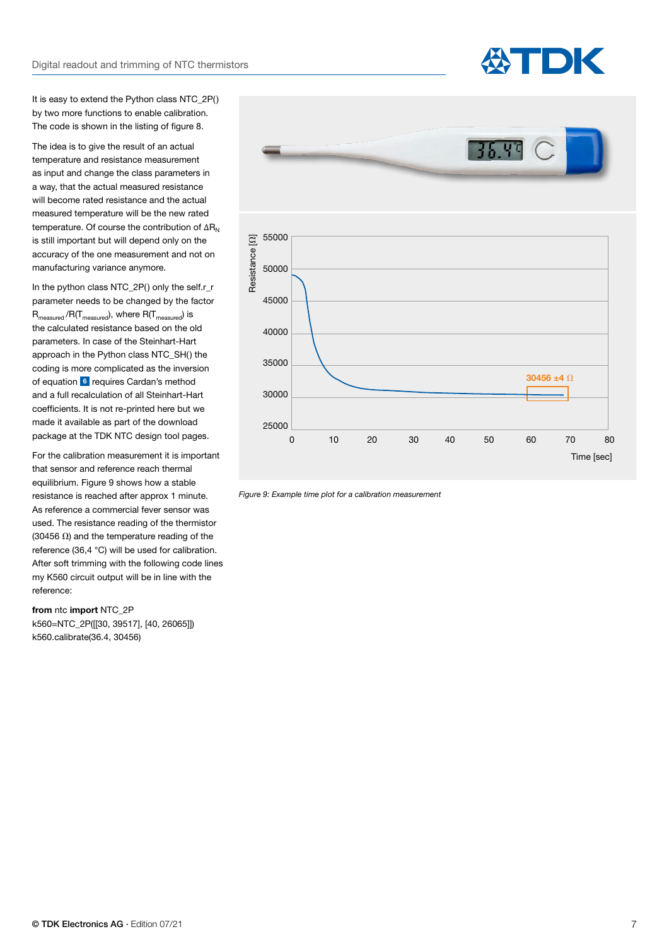

It is easy to extend the Python class NTC\_2P() by two more functions to enable calibration. The code is shown in the listing of figure 8.

The idea is to give the result of an actual temperature and resistance measurement as input and change the class parameters in a way, that the actual measured resistance will become rated resistance and the actual measured temperature will be the new rated temperature. Of course the contribution of  $\Delta R_N$ is still important but will depend only on the accuracy of the one measurement and not on manufacturing variance anymore.

In the python class NTC\_2P() only the self.r\_r parameter needs to be changed by the factor  $R_{\text{measured}}/R(T_{\text{measured}})$ , where  $R(T_{\text{measured}})$  is the calculated resistance based on the old parameters. In case of the Steinhart-Hart approach in the Python class NTC\_SH() the coding is more complicated as the inversion of equation **6** requires Cardan's method and a full recalculation of all Steinhart-Hart coefficients. It is not re-printed here but we made it available as part of the download package at the TDK NTC design tool pages.

For the calibration measurement it is important that sensor and reference reach thermal equilibrium. Figure 9 shows how a stable resistance is reached after approx 1 minute. As reference a commercial fever sensor was used. The resistance reading of the thermistor (30456  $\Omega$ ) and the temperature reading of the reference (36,4 °C) will be used for calibration. After soft trimming with the following code lines my K560 circuit output will be in line with the reference:

# **from** ntc **import** NTC\_2P

k560=NTC\_2P([[30, 39517], [40, 26065]]) k560.calibrate(36.4, 30456)



*Figure 9: Example time plot for a calibration measurement*